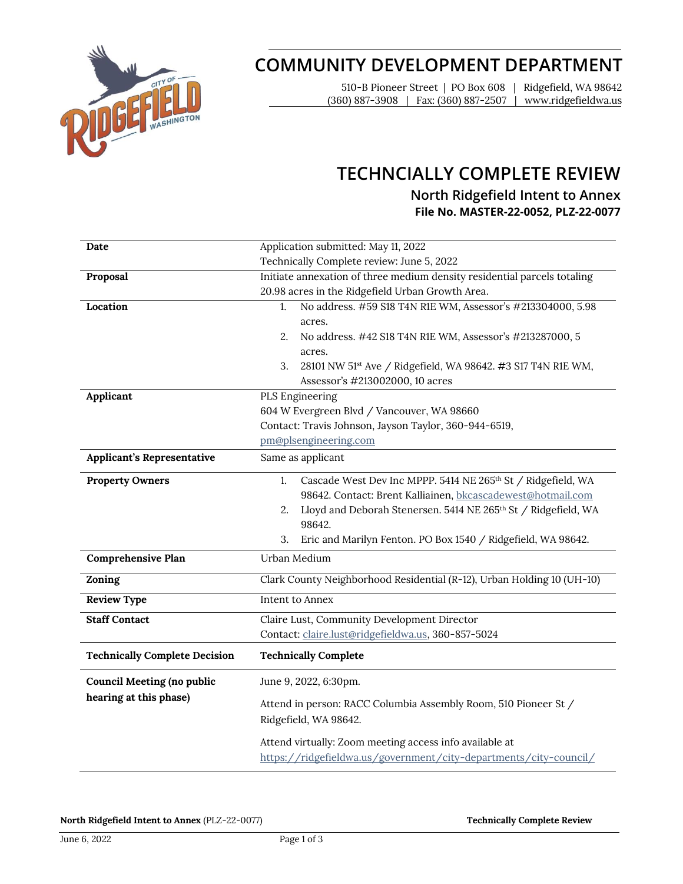

# **COMMUNITY DEVELOPMENT DEPARTMENT**

510-B Pioneer Street | PO Box 608 | Ridgefield, WA 98642 (360) 887-3908 | Fax: (360) 887-2507 | www.ridgefieldwa.us

# **TECHNCIALLY COMPLETE REVIEW**

## **North Ridgefield Intent to Annex** File No. MASTER-22-0052, PLZ-22-0077

| Date                                 | Application submitted: May 11, 2022                                                      |
|--------------------------------------|------------------------------------------------------------------------------------------|
|                                      | Technically Complete review: June 5, 2022                                                |
| Proposal                             | Initiate annexation of three medium density residential parcels totaling                 |
|                                      | 20.98 acres in the Ridgefield Urban Growth Area.                                         |
| Location                             | No address. #59 S18 T4N R1E WM, Assessor's #213304000, 5.98<br>1.                        |
|                                      | acres.                                                                                   |
|                                      | 2.<br>No address. #42 S18 T4N R1E WM, Assessor's #213287000, 5                           |
|                                      | acres.                                                                                   |
|                                      | 28101 NW 51 <sup>st</sup> Ave / Ridgefield, WA 98642. #3 S17 T4N R1E WM,<br>3.           |
|                                      | Assessor's #213002000, 10 acres                                                          |
| Applicant                            | PLS Engineering                                                                          |
|                                      | 604 W Evergreen Blvd / Vancouver, WA 98660                                               |
|                                      | Contact: Travis Johnson, Jayson Taylor, 360-944-6519,                                    |
|                                      | pm@plsengineering.com                                                                    |
| Applicant's Representative           | Same as applicant                                                                        |
| <b>Property Owners</b>               | Cascade West Dev Inc MPPP. 5414 NE 265th St / Ridgefield, WA<br>1.                       |
|                                      | 98642. Contact: Brent Kalliainen, bkcascadewest@hotmail.com                              |
|                                      | Lloyd and Deborah Stenersen. 5414 NE 265th St / Ridgefield, WA<br>2.                     |
|                                      | 98642.                                                                                   |
|                                      | Eric and Marilyn Fenton. PO Box 1540 / Ridgefield, WA 98642.<br>3.                       |
| <b>Comprehensive Plan</b>            | Urban Medium                                                                             |
| Zoning                               | Clark County Neighborhood Residential (R-12), Urban Holding 10 (UH-10)                   |
| <b>Review Type</b>                   | Intent to Annex                                                                          |
| <b>Staff Contact</b>                 | Claire Lust, Community Development Director                                              |
|                                      | Contact: claire.lust@ridgefieldwa.us, 360-857-5024                                       |
|                                      |                                                                                          |
| <b>Technically Complete Decision</b> | <b>Technically Complete</b>                                                              |
| <b>Council Meeting (no public</b>    | June 9, 2022, 6:30pm.                                                                    |
| hearing at this phase)               | Attend in person: RACC Columbia Assembly Room, 510 Pioneer St /<br>Ridgefield, WA 98642. |
|                                      | Attend virtually: Zoom meeting access info available at                                  |

**North Ridgefield Intent to Annex (PLZ-22-0077) <b>Technically Complete Review Technically Complete Review**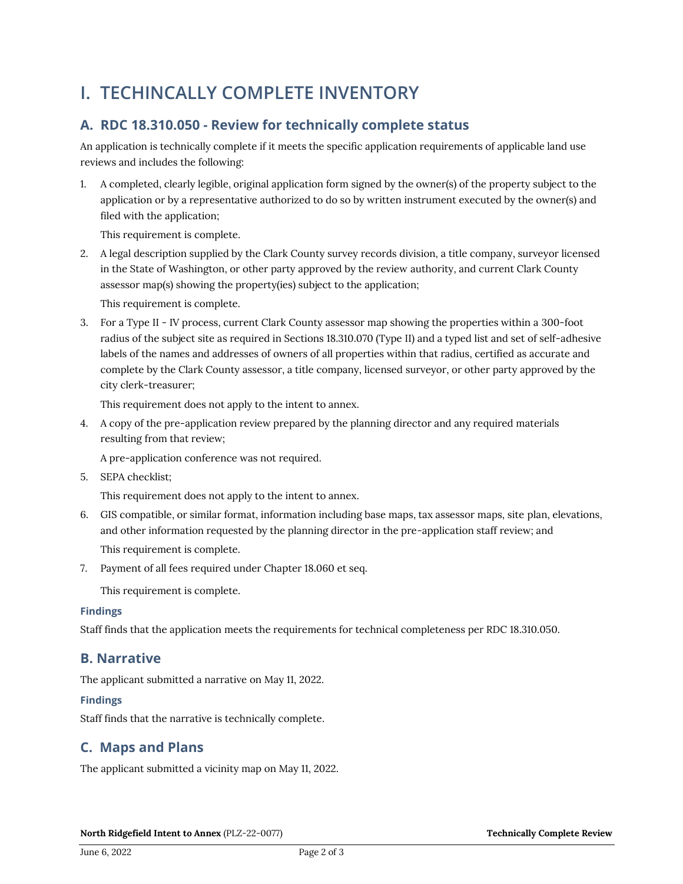# **I. TECHINCALLY COMPLETE INVENTORY**

# A. RDC 18.310.050 - Review for technically complete status

An application is technically complete if it meets the specific application requirements of applicable land use reviews and includes the following:

1. A completed, clearly legible, original application form signed by the owner(s) of the property subject to the application or by a representative authorized to do so by written instrument executed by the owner(s) and filed with the application;

This requirement is complete.

2. A legal description supplied by the Clark County survey records division, a title company, surveyor licensed in the State of Washington, or other party approved by the review authority, and current Clark County assessor map(s) showing the property(ies) subject to the application;

This requirement is complete.

3. For a Type II - IV process, current Clark County assessor map showing the properties within a 300-foot radius of the subject site as required in Sections 18.310.070 (Type II) and a typed list and set of self-adhesive labels of the names and addresses of owners of all properties within that radius, certified as accurate and complete by the Clark County assessor, a title company, licensed surveyor, or other party approved by the city clerk-treasurer;

This requirement does not apply to the intent to annex.

4. A copy of the pre-application review prepared by the planning director and any required materials resulting from that review;

A pre-application conference was not required.

5. SEPA checklist;

This requirement does not apply to the intent to annex.

- 6. GIS compatible, or similar format, information including base maps, tax assessor maps, site plan, elevations, and other information requested by the planning director in the pre-application staff review; and This requirement is complete.
- 7. Payment of all fees required under Chapter 18.060 et seq.

This requirement is complete.

#### **Findings**

Staff finds that the application meets the requirements for technical completeness per RDC 18.310.050.

### B. Narrative

The applicant submitted a narrative on May 11, 2022.

### **Findings**

Staff finds that the narrative is technically complete.

## C. Maps and Plans

The applicant submitted a vicinity map on May 11, 2022.